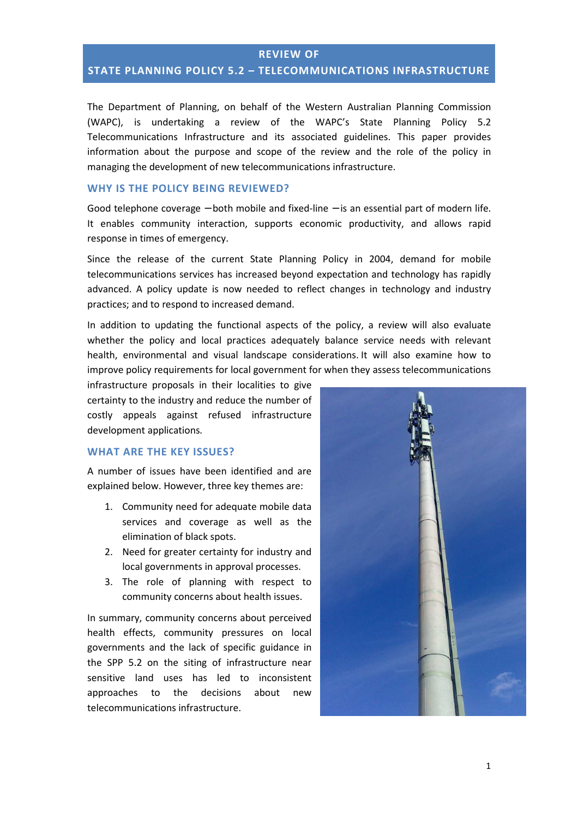## **REVIEW OF STATE PLANNING POLICY 5.2 – TELECOMMUNICATIONS INFRASTRUCTURE**

The Department of Planning, on behalf of the Western Australian Planning Commission (WAPC), is undertaking a review of the WAPC's State Planning Policy 5.2 Telecommunications Infrastructure and its associated guidelines. This paper provides information about the purpose and scope of the review and the role of the policy in managing the development of new telecommunications infrastructure.

#### **WHY IS THE POLICY BEING REVIEWED?**

Good telephone coverage − both mobile and fixed-line − is an essential part of modern life. It enables community interaction, supports economic productivity, and allows rapid response in times of emergency.

Since the release of the current State Planning Policy in 2004, demand for mobile telecommunications services has increased beyond expectation and technology has rapidly advanced. A policy update is now needed to reflect changes in technology and industry practices; and to respond to increased demand.

In addition to updating the functional aspects of the policy, a review will also evaluate whether the policy and local practices adequately balance service needs with relevant health, environmental and visual landscape considerations. It will also examine how to improve policy requirements for local government for when they assess telecommunications

infrastructure proposals in their localities to give certainty to the industry and reduce the number of costly appeals against refused infrastructure development applications*.*

#### **WHAT ARE THE KEY ISSUES?**

A number of issues have been identified and are explained below. However, three key themes are:

- 1. Community need for adequate mobile data services and coverage as well as the elimination of black spots.
- 2. Need for greater certainty for industry and local governments in approval processes.
- 3. The role of planning with respect to community concerns about health issues.

In summary, community concerns about perceived health effects, community pressures on local governments and the lack of specific guidance in the SPP 5.2 on the siting of infrastructure near sensitive land uses has led to inconsistent approaches to the decisions about new telecommunications infrastructure.

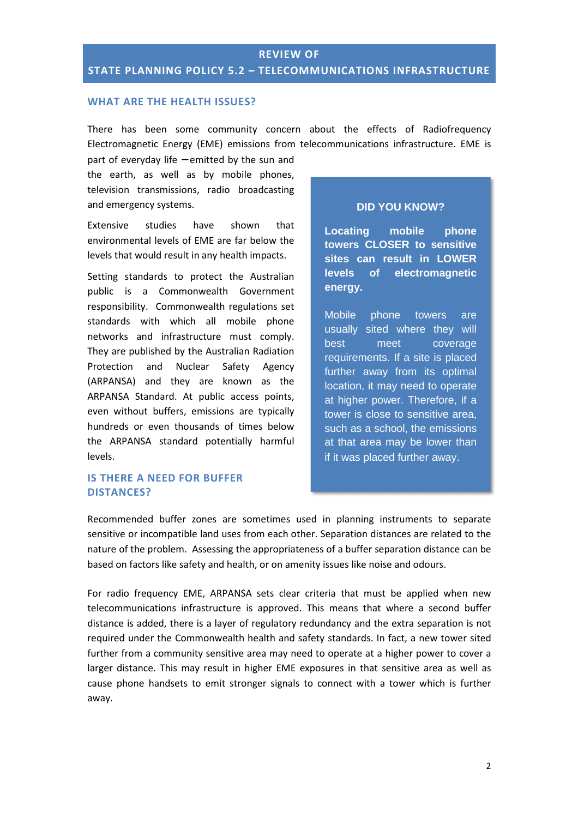### **WHAT ARE THE HEALTH ISSUES?**

There has been some community concern about the effects of Radiofrequency Electromagnetic Energy (EME) emissions from telecommunications infrastructure. EME is

part of everyday life − emitted by the sun and the earth, as well as by mobile phones, television transmissions, radio broadcasting and emergency systems.

Extensive studies have shown that environmental levels of EME are far below the levels that would result in any health impacts.

Setting standards to protect the Australian public is a Commonwealth Government responsibility. Commonwealth regulations set standards with which all mobile phone networks and infrastructure must comply. They are published by the Australian Radiation Protection and Nuclear Safety Agency (ARPANSA) and they are known as the ARPANSA Standard. At public access points, even without buffers, emissions are typically hundreds or even thousands of times below the ARPANSA standard potentially harmful levels.

### **IS THERE A NEED FOR BUFFER DISTANCES?**

#### **DID YOU KNOW?**

**Locating mobile phone towers CLOSER to sensitive sites can result in LOWER levels of electromagnetic energy.** 

Mobile phone towers are usually sited where they will best meet coverage requirements. If a site is placed further away from its optimal location, it may need to operate at higher power. Therefore, if a tower is close to sensitive area, such as a school, the emissions at that area may be lower than if it was placed further away.

Recommended buffer zones are sometimes used in planning instruments to separate sensitive or incompatible land uses from each other. Separation distances are related to the nature of the problem. Assessing the appropriateness of a buffer separation distance can be based on factors like safety and health, or on amenity issues like noise and odours.

For radio frequency EME, ARPANSA sets clear criteria that must be applied when new telecommunications infrastructure is approved. This means that where a second buffer distance is added, there is a layer of regulatory redundancy and the extra separation is not required under the Commonwealth health and safety standards. In fact, a new tower sited further from a community sensitive area may need to operate at a higher power to cover a larger distance. This may result in higher EME exposures in that sensitive area as well as cause phone handsets to emit stronger signals to connect with a tower which is further away.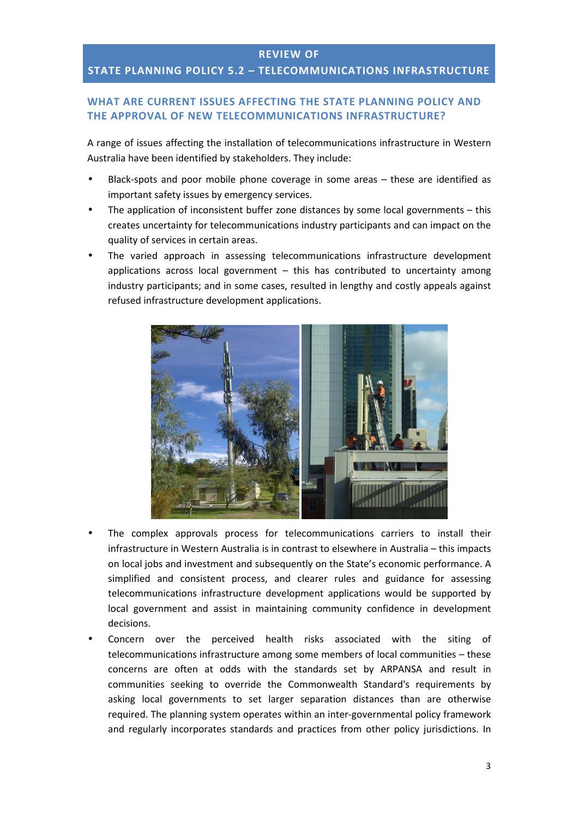# **REVIEW OF**

## **STATE PLANNING POLICY 5.2 – TELECOMMUNICATIONS INFRASTRUCTURE**

### **WHAT ARE CURRENT ISSUES AFFECTING THE STATE PLANNING POLICY AND THE APPROVAL OF NEW TELECOMMUNICATIONS INFRASTRUCTURE?**

A range of issues affecting the installation of telecommunications infrastructure in Western Australia have been identified by stakeholders. They include:

- Black-spots and poor mobile phone coverage in some areas these are identified as important safety issues by emergency services.
- The application of inconsistent buffer zone distances by some local governments  $-$  this creates uncertainty for telecommunications industry participants and can impact on the quality of services in certain areas.
- The varied approach in assessing telecommunications infrastructure development applications across local government  $-$  this has contributed to uncertainty among industry participants; and in some cases, resulted in lengthy and costly appeals against refused infrastructure development applications.



- The complex approvals process for telecommunications carriers to install their infrastructure in Western Australia is in contrast to elsewhere in Australia – this impacts on local jobs and investment and subsequently on the State's economic performance. A simplified and consistent process, and clearer rules and guidance for assessing telecommunications infrastructure development applications would be supported by local government and assist in maintaining community confidence in development decisions.
- Concern over the perceived health risks associated with the siting of telecommunications infrastructure among some members of local communities – these concerns are often at odds with the standards set by ARPANSA and result in communities seeking to override the Commonwealth Standard's requirements by asking local governments to set larger separation distances than are otherwise required. The planning system operates within an inter-governmental policy framework and regularly incorporates standards and practices from other policy jurisdictions. In